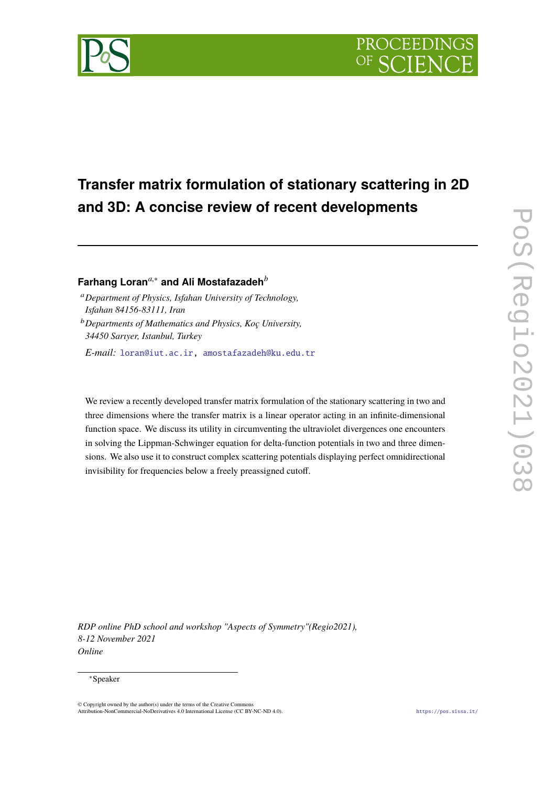

# **Transfer matrix formulation of stationary scattering in 2D and 3D: A concise review of recent developments**

## **Farhang Loran***a*,<sup>∗</sup> **and Ali Mostafazadeh***<sup>b</sup>*

- <sup>a</sup>*Department of Physics, Isfahan University of Technology, Isfahan 84156-83111, Iran*
- <sup>b</sup>*Departments of Mathematics and Physics, Koç University, 34450 Sarıyer, Istanbul, Turkey*

*E-mail:* [loran@iut.ac.ir,](mailto:loran@iut.ac.ir) [amostafazadeh@ku.edu.tr](mailto:amostafazadeh@ku.edu.tr)

We review a recently developed transfer matrix formulation of the stationary scattering in two and three dimensions where the transfer matrix is a linear operator acting in an infinite-dimensional function space. We discuss its utility in circumventing the ultraviolet divergences one encounters in solving the Lippman-Schwinger equation for delta-function potentials in two and three dimensions. We also use it to construct complex scattering potentials displaying perfect omnidirectional invisibility for frequencies below a freely preassigned cutoff.

*RDP online PhD school and workshop "Aspects of Symmetry"(Regio2021), 8-12 November 2021 Online*

### <sup>∗</sup>Speaker

<sup>©</sup> Copyright owned by the author(s) under the terms of the Creative Commons Attribution-NonCommercial-NoDerivatives 4.0 International License (CC BY-NC-ND 4.0). <https://pos.sissa.it/>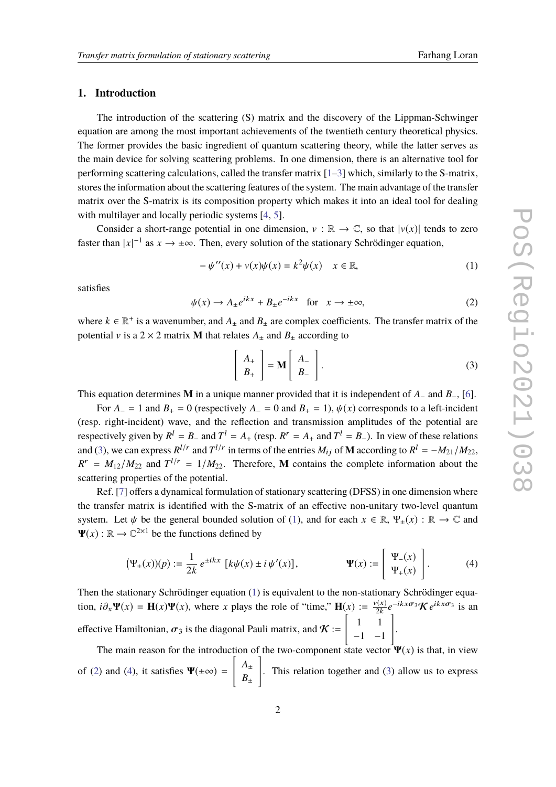### **1. Introduction**

The introduction of the scattering (S) matrix and the discovery of the Lippman-Schwinger equation are among the most important achievements of the twentieth century theoretical physics. The former provides the basic ingredient of quantum scattering theory, while the latter serves as the main device for solving scattering problems. In one dimension, there is an alternative tool for performing scattering calculations, called the transfer matrix  $[1-3]$  $[1-3]$  which, similarly to the S-matrix, stores the information about the scattering features of the system. The main advantage of the transfer matrix over the S-matrix is its composition property which makes it into an ideal tool for dealing with multilayer and locally periodic systems [\[4,](#page-9-2) [5\]](#page-9-3).

Consider a short-range potential in one dimension,  $v : \mathbb{R} \to \mathbb{C}$ , so that  $|v(x)|$  tends to zero faster than  $|x|^{-1}$  as  $x \to \pm \infty$ . Then, every solution of the stationary Schrödinger equation,

<span id="page-1-1"></span>
$$
-\psi''(x) + v(x)\psi(x) = k^2\psi(x) \quad x \in \mathbb{R},\tag{1}
$$

satisfies

<span id="page-1-2"></span>
$$
\psi(x) \to A_{\pm} e^{ikx} + B_{\pm} e^{-ikx} \quad \text{for} \quad x \to \pm \infty,
$$
 (2)

where  $k \in \mathbb{R}^+$  is a wavenumber, and  $A_{\pm}$  and  $B_{\pm}$  are complex coefficients. The transfer matrix of the potential v is a 2  $\times$  2 matrix **M** that relates  $A_{\pm}$  and  $B_{\pm}$  according to

<span id="page-1-3"></span><span id="page-1-0"></span>
$$
\left[\begin{array}{c} A_{+} \\ B_{+} \end{array}\right] = \mathbf{M} \left[\begin{array}{c} A_{-} \\ B_{-} \end{array}\right].
$$
 (3)

This equation determines **M** in a unique manner provided that it is independent of *A*<sup>−</sup> and *B*−, [\[6\]](#page-9-4).

For  $A_-=1$  and  $B_+=0$  (respectively  $A_-=0$  and  $B_+=1$ ),  $\psi(x)$  corresponds to a left-incident (resp. right-incident) wave, and the reflection and transmission amplitudes of the potential are respectively given by  $R^l = B_-$  and  $T^l = A_+$  (resp.  $R^r = A_+$  and  $T^l = B_-$ ). In view of these relations and [\(3\)](#page-1-0), we can express  $R^{l/r}$  and  $T^{l/r}$  in terms of the entries  $M_{ij}$  of **M** according to  $R^l = -M_{21}/M_{22}$ ,  $R^r = M_{12}/M_{22}$  and  $T^{l/r} = 1/M_{22}$ . Therefore, **M** contains the complete information about the scattering properties of the potential.

Ref. [\[7\]](#page-9-5) offers a dynamical formulation of stationary scattering (DFSS) in one dimension where the transfer matrix is identified with the S-matrix of an effective non-unitary two-level quantum system. Let  $\psi$  be the general bounded solution of [\(1\)](#page-1-1), and for each  $x \in \mathbb{R}$ ,  $\Psi_+(x) : \mathbb{R} \to \mathbb{C}$  and  $\Psi(x): \mathbb{R} \to \mathbb{C}^{2 \times 1}$  be the functions defined by

$$
\left(\Psi_{\pm}(x)\right)(p) := \frac{1}{2k} e^{\pm ikx} \left[ k\psi(x) \pm i\psi'(x) \right], \qquad \Psi(x) := \begin{bmatrix} \Psi_{-}(x) \\ \Psi_{+}(x) \end{bmatrix}.
$$
 (4)

Then the stationary Schrödinger equation [\(1\)](#page-1-1) is equivalent to the non-stationary Schrödinger equation,  $i\partial_x \Psi(x) = \mathbf{H}(x)\Psi(x)$ , where *x* plays the role of "time,"  $\mathbf{H}(x) := \frac{v(x)}{2k}$  $\frac{\partial v(x)}{\partial k}e^{-ikx\sigma_3}\mathcal{K}e^{ikx\sigma_3}$  is an effective Hamiltonian,  $\sigma_3$  is the diagonal Pauli matrix, and  $\mathcal{K}$  :=  $\begin{bmatrix} 1 & 1 \end{bmatrix}$ −1 −1 1 .

The main reason for the introduction of the two-component state vector  $\Psi(x)$  is that, in view of [\(2\)](#page-1-2) and [\(4\)](#page-1-3), it satisfies  $\Psi(\pm\infty)$  =  $\left[ \begin{array}{c} A_{\pm} \end{array} \right]$  $B_{\pm}$ 1 . This relation together and [\(3\)](#page-1-0) allow us to express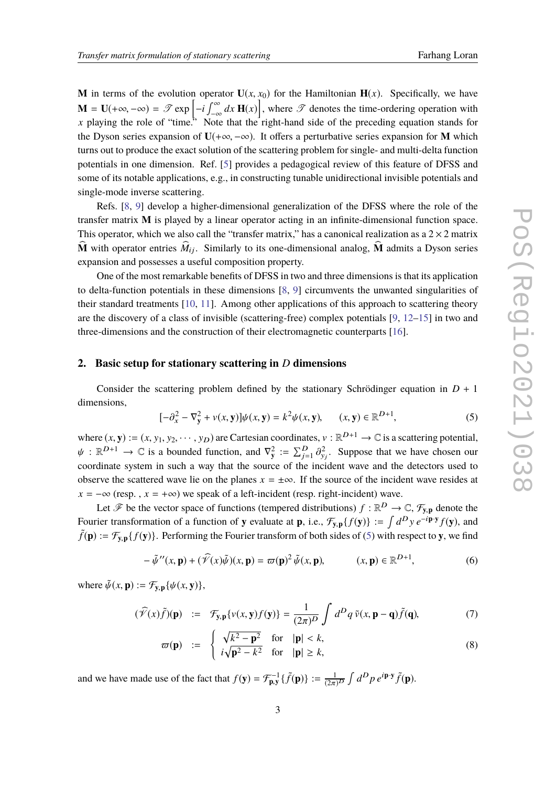**M** in terms of the evolution operator  $U(x, x_0)$  for the Hamiltonian  $H(x)$ . Specifically, we have  $\mathbf{M} = \mathbf{U}(+\infty, -\infty) = \mathcal{T} \exp \left[-i \int_{-\infty}^{\infty} dx \, \mathbf{H}(x)\right]$ , where  $\mathcal{T}$  denotes the time-ordering operation with *x* playing the role of "time." Note that the right-hand side of the preceding equation stands for the Dyson series expansion of  $U(+\infty, -\infty)$ . It offers a perturbative series expansion for **M** which turns out to produce the exact solution of the scattering problem for single- and multi-delta function potentials in one dimension. Ref. [\[5\]](#page-9-3) provides a pedagogical review of this feature of DFSS and some of its notable applications, e.g., in constructing tunable unidirectional invisible potentials and single-mode inverse scattering.

Refs. [\[8,](#page-9-6) [9\]](#page-9-7) develop a higher-dimensional generalization of the DFSS where the role of the transfer matrix **M** is played by a linear operator acting in an infinite-dimensional function space. This operator, which we also call the "transfer matrix," has a canonical realization as a  $2 \times 2$  matrix  $\widehat{\mathbf{M}}$  with operator entries  $\widehat{M}_{ij}$ . Similarly to its one-dimensional analog,  $\widehat{\mathbf{M}}$  admits a Dyson series expansion and possesses a useful composition property.

One of the most remarkable benefits of DFSS in two and three dimensions is that its application to delta-function potentials in these dimensions [\[8,](#page-9-6) [9\]](#page-9-7) circumvents the unwanted singularities of their standard treatments [\[10,](#page-9-8) [11\]](#page-9-9). Among other applications of this approach to scattering theory are the discovery of a class of invisible (scattering-free) complex potentials [\[9,](#page-9-7) [12–](#page-9-10)[15\]](#page-9-11) in two and three-dimensions and the construction of their electromagnetic counterparts [\[16\]](#page-9-12).

#### **2. Basic setup for stationary scattering in** *D* **dimensions**

Consider the scattering problem defined by the stationary Schrödinger equation in  $D + 1$ dimensions,

<span id="page-2-0"></span>
$$
[-\partial_x^2 - \nabla_y^2 + v(x, \mathbf{y})] \psi(x, \mathbf{y}) = k^2 \psi(x, \mathbf{y}), \qquad (x, \mathbf{y}) \in \mathbb{R}^{D+1},
$$
 (5)

where  $(x, y) := (x, y_1, y_2, \dots, y_D)$  are Cartesian coordinates,  $v : \mathbb{R}^{D+1} \to \mathbb{C}$  is a scattering potential,  $\psi : \mathbb{R}^{D+1} \to \mathbb{C}$  is a bounded function, and  $\nabla_y^2 := \sum_{j=1}^D \partial_{y_j}^2$ . Suppose that we have chosen our coordinate system in such a way that the source of the incident wave and the detectors used to observe the scattered wave lie on the planes  $x = \pm \infty$ . If the source of the incident wave resides at  $x = -\infty$  (resp.,  $x = +\infty$ ) we speak of a left-incident (resp. right-incident) wave.

Let  $\mathcal{F}$  be the vector space of functions (tempered distributions)  $f : \mathbb{R}^D \to \mathbb{C}$ ,  $\mathcal{F}_{y,p}$  denote the Fourier transformation of a function of **y** evaluate at **p**, i.e.,  $\mathcal{F}_{\mathbf{y},\mathbf{p}}\{f(\mathbf{y})\} := \int d^D y \, e^{-i\mathbf{p} \cdot \mathbf{y}} f(\mathbf{y})$ , and  $\tilde{f}(\mathbf{p}) := \mathcal{F}_{\mathbf{y},\mathbf{p}}\{f(\mathbf{y})\}$ . Performing the Fourier transform of both sides of [\(5\)](#page-2-0) with respect to **y**, we find

<span id="page-2-1"></span>
$$
-\tilde{\psi}^{\prime\prime}(x,\mathbf{p})+(\hat{\mathcal{V}}(x)\tilde{\psi})(x,\mathbf{p})=\varpi(\mathbf{p})^2\,\tilde{\psi}(x,\mathbf{p}),\qquad (x,\mathbf{p})\in\mathbb{R}^{D+1},\qquad(6)
$$

where  $\tilde{\psi}(x, \mathbf{p}) := \mathcal{F}_{\mathbf{v}, \mathbf{p}}{\psi(x, \mathbf{y})}$ ,

<span id="page-2-2"></span>
$$
(\widehat{\mathcal{V}}(x)\tilde{f})(\mathbf{p}) \quad := \quad \mathcal{F}_{\mathbf{y},\mathbf{p}}\{v(x,\mathbf{y})f(\mathbf{y})\} = \frac{1}{(2\pi)^D} \int d^D q \, \tilde{v}(x,\mathbf{p}-\mathbf{q})\tilde{f}(\mathbf{q}),\tag{7}
$$

$$
\varpi(\mathbf{p}) \quad := \quad \begin{cases} \n\sqrt{k^2 - \mathbf{p}^2} & \text{for} \quad |\mathbf{p}| < k, \\ \n i\sqrt{\mathbf{p}^2 - k^2} & \text{for} \quad |\mathbf{p}| \ge k, \n\end{cases} \tag{8}
$$

and we have made use of the fact that  $f(\mathbf{y}) = \mathcal{F}_{\mathbf{p}, \mathbf{y}}^{-1} \{ \tilde{f}(\mathbf{p}) \} := \frac{1}{(2\pi)^D} \int d^D p \, e^{i \mathbf{p} \cdot \mathbf{y}} \tilde{f}(\mathbf{p}).$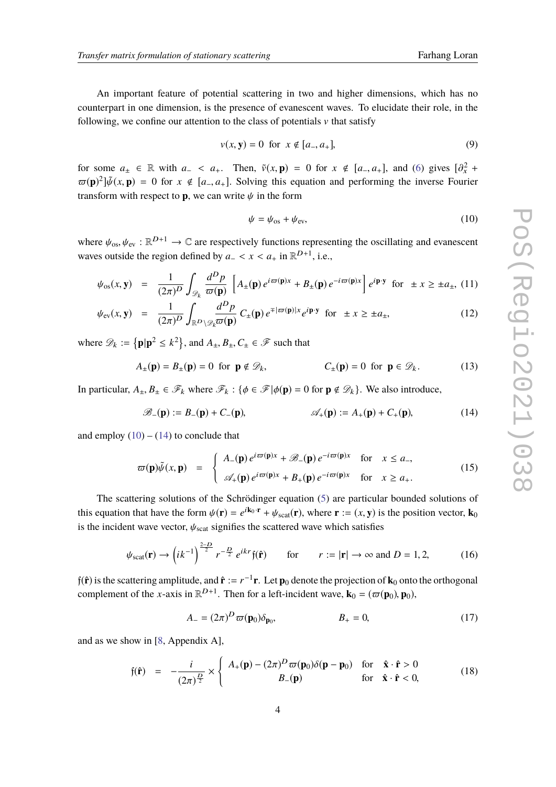An important feature of potential scattering in two and higher dimensions, which has no counterpart in one dimension, is the presence of evanescent waves. To elucidate their role, in the following, we confine our attention to the class of potentials  $\nu$  that satisfy

<span id="page-3-7"></span>
$$
v(x, y) = 0
$$
 for  $x \notin [a_-, a_+],$  (9)

for some  $a_{\pm} \in \mathbb{R}$  with  $a_{-} < a_{+}$ . Then,  $\tilde{v}(x, \mathbf{p}) = 0$  for  $x \notin [a_{-}, a_{+}]$ , and [\(6\)](#page-2-1) gives  $[\partial_{x}^{2} + \partial_{y}]^{2}$ .  $(\mathbf{p}) = 0$  for  $x \notin [a_{-}, a_{+}]$ , and (6) gives  $[\partial_{x}^{2} + \partial_{y}]^{2}$ .  $\varpi(\mathbf{p})^2 \, \tilde{\psi}(x, \mathbf{p}) = 0$  for  $x \notin [a_-, a_+]$ . Solving this equation and performing the inverse Fourier transform with respect to **p**, we can write  $\psi$  in the form

<span id="page-3-6"></span><span id="page-3-1"></span><span id="page-3-0"></span>
$$
\psi = \psi_{\text{os}} + \psi_{\text{ev}},\tag{10}
$$

where  $\psi_{\text{os}}, \psi_{\text{ev}} : \mathbb{R}^{D+1} \to \mathbb{C}$  are respectively functions representing the oscillating and evanescent waves outside the region defined by  $a_$  <  $x$  <  $a_$  in  $\mathbb{R}^{D+1}$ , i.e.,

<span id="page-3-3"></span>
$$
\psi_{\rm os}(x, \mathbf{y}) = \frac{1}{(2\pi)^D} \int_{\mathcal{D}_k} \frac{d^D p}{\varpi(\mathbf{p})} \left[ A_{\pm}(\mathbf{p}) e^{i\varpi(\mathbf{p})x} + B_{\pm}(\mathbf{p}) e^{-i\varpi(\mathbf{p})x} \right] e^{i\mathbf{p}\cdot\mathbf{y}} \text{ for } \pm x \ge \pm a_{\pm}, \text{ (11)}
$$

$$
\psi_{\text{ev}}(x, \mathbf{y}) = \frac{1}{(2\pi)^D} \int_{\mathbb{R}^D \setminus \mathscr{D}_k} \frac{d^D p}{\varpi(\mathbf{p})} C_{\pm}(\mathbf{p}) e^{\mp |\varpi(\mathbf{p})| x} e^{i \mathbf{p} \cdot \mathbf{y}} \quad \text{for } \pm x \ge \pm a_{\pm}, \tag{12}
$$

where  $\mathscr{D}_k := {\{\mathbf{p} | \mathbf{p}^2 \leq k^2\}}$ , and  $A_{\pm}, B_{\pm}, C_{\pm} \in \mathscr{F}$  such that

$$
A_{\pm}(\mathbf{p}) = B_{\pm}(\mathbf{p}) = 0 \text{ for } \mathbf{p} \notin \mathcal{D}_k, \qquad C_{\pm}(\mathbf{p}) = 0 \text{ for } \mathbf{p} \in \mathcal{D}_k. \tag{13}
$$

In particular,  $A_{\pm}, B_{\pm} \in \mathcal{F}_k$  where  $\mathcal{F}_k : {\phi \in \mathcal{F} | \phi(\mathbf{p}) = 0 \text{ for } \mathbf{p} \notin \mathcal{D}_k}$ . We also introduce,

$$
\mathscr{B}_{-}(\mathbf{p}) := B_{-}(\mathbf{p}) + C_{-}(\mathbf{p}), \qquad \mathscr{A}_{+}(\mathbf{p}) := A_{+}(\mathbf{p}) + C_{+}(\mathbf{p}), \qquad (14)
$$

and employ  $(10) - (14)$  $(10) - (14)$  $(10) - (14)$  to conclude that

<span id="page-3-5"></span>
$$
\varpi(\mathbf{p})\tilde{\psi}(x,\mathbf{p}) = \begin{cases} A_{-}(\mathbf{p})e^{i\varpi(\mathbf{p})x} + \mathscr{B}_{-}(\mathbf{p})e^{-i\varpi(\mathbf{p})x} & \text{for } x \leq a_{-}, \\ \mathscr{A}_{+}(\mathbf{p})e^{i\varpi(\mathbf{p})x} + B_{+}(\mathbf{p})e^{-i\varpi(\mathbf{p})x} & \text{for } x \geq a_{+}. \end{cases}
$$
(15)

The scattering solutions of the Schrödinger equation [\(5\)](#page-2-0) are particular bounded solutions of this equation that have the form  $\psi(\mathbf{r}) = e^{i\mathbf{k}_0 \cdot \mathbf{r}} + \psi_{\text{scat}}(\mathbf{r})$ , where  $\mathbf{r} := (x, y)$  is the position vector,  $\mathbf{k}_0$ is the incident wave vector,  $\psi_{scat}$  signifies the scattered wave which satisfies

<span id="page-3-8"></span>
$$
\psi_{\text{scat}}(\mathbf{r}) \to \left(ik^{-1}\right)^{\frac{2-D}{2}} r^{-\frac{D}{2}} e^{ikr} \mathfrak{f}(\hat{\mathbf{r}}) \qquad \text{for} \qquad r := |\mathbf{r}| \to \infty \text{ and } D = 1, 2,
$$
 (16)

 $f(\hat{\bf r})$  is the scattering amplitude, and  $\hat{\bf r}:=r^{-1}{\bf r}$ . Let  ${\bf p}_0$  denote the projection of  ${\bf k}_0$  onto the orthogonal complement of the *x*-axis in  $\mathbb{R}^{D+1}$ . Then for a left-incident wave,  $\mathbf{k}_0 = (\varpi(\mathbf{p}_0), \mathbf{p}_0)$ ,

<span id="page-3-4"></span>
$$
A_{-} = (2\pi)^{D} \varpi(\mathbf{p}_{0}) \delta_{\mathbf{p}_{0}}, \qquad B_{+} = 0, \qquad (17)
$$

and as we show in [\[8,](#page-9-6) Appendix A],

<span id="page-3-2"></span>
$$
\mathfrak{f}(\hat{\mathbf{r}}) = -\frac{i}{(2\pi)^{\frac{D}{2}}} \times \begin{cases} A_{+}(\mathbf{p}) - (2\pi)^{D} \varpi(\mathbf{p}_{0}) \delta(\mathbf{p} - \mathbf{p}_{0}) & \text{for } \hat{\mathbf{x}} \cdot \hat{\mathbf{r}} > 0 \\ B_{-}(\mathbf{p}) & \text{for } \hat{\mathbf{x}} \cdot \hat{\mathbf{r}} < 0, \end{cases}
$$
(18)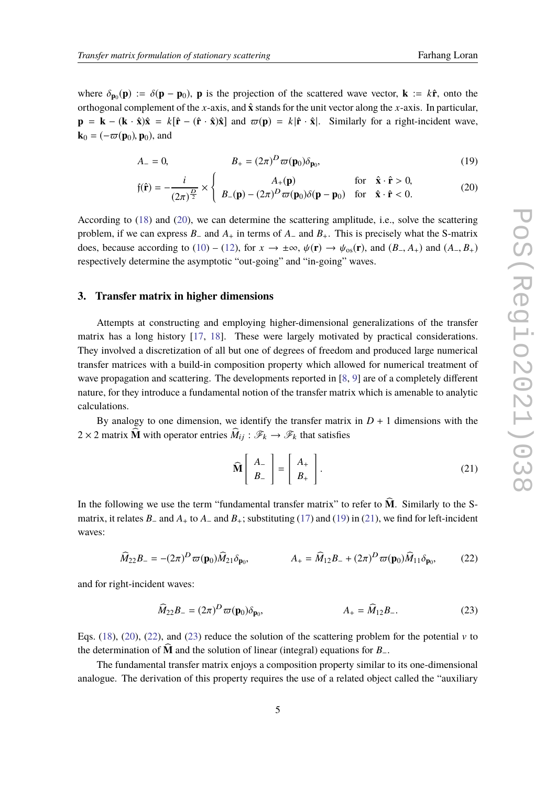where  $\delta_{\mathbf{p}_0}(\mathbf{p}) := \delta(\mathbf{p} - \mathbf{p}_0)$ , **p** is the projection of the scattered wave vector,  $\mathbf{k} := k\hat{\mathbf{r}}$ , onto the sethence of the second complement of the y axis and  $\hat{\mathbf{r}}$  dends for the unit vector class t orthogonal complement of the *x*-axis, and **x**ˆ stands for the unit vector along the *x*-axis. In particular,  $\mathbf{p} = \mathbf{k} - (\mathbf{k} \cdot \hat{\mathbf{x}})\hat{\mathbf{x}} = k[\hat{\mathbf{r}} - (\hat{\mathbf{r}} \cdot \hat{\mathbf{x}})\hat{\mathbf{x}}]$  and  $\varpi(\mathbf{p}) = k|\hat{\mathbf{r}} \cdot \hat{\mathbf{x}}|$ . Similarly for a right-incident wave,  $\mathbf{k}_0 = (-\varpi(\mathbf{p}_0), \mathbf{p}_0)$ , and

<span id="page-4-1"></span><span id="page-4-0"></span>
$$
A_{-} = 0, \t B_{+} = (2\pi)^{D} \varpi(\mathbf{p}_{0}) \delta_{\mathbf{p}_{0}}, \t (19)
$$

$$
\mathfrak{f}(\hat{\mathbf{r}}) = -\frac{i}{(2\pi)^{\frac{D}{2}}} \times \begin{cases} A_{+}(\mathbf{p}) & \text{for } \hat{\mathbf{x}} \cdot \hat{\mathbf{r}} > 0, \\ B_{-}(\mathbf{p}) - (2\pi)^{D} \varpi(\mathbf{p}_{0}) \delta(\mathbf{p} - \mathbf{p}_{0}) & \text{for } \hat{\mathbf{x}} \cdot \hat{\mathbf{r}} < 0. \end{cases}
$$
(20)

According to [\(18\)](#page-3-2) and [\(20\)](#page-4-0), we can determine the scattering amplitude, i.e., solve the scattering problem, if we can express *B*<sup>−</sup> and *A*<sup>+</sup> in terms of *A*<sup>−</sup> and *B*+. This is precisely what the S-matrix does, because according to [\(10\)](#page-3-0) – [\(12\)](#page-3-3), for  $x \to \pm \infty$ ,  $\psi(\mathbf{r}) \to \psi_{0s}(\mathbf{r})$ , and  $(B_-, A_+)$  and  $(A_-, B_+)$ respectively determine the asymptotic "out-going" and "in-going" waves.

### **3. Transfer matrix in higher dimensions**

Attempts at constructing and employing higher-dimensional generalizations of the transfer matrix has a long history [\[17,](#page-9-13) [18\]](#page-9-14). These were largely motivated by practical considerations. They involved a discretization of all but one of degrees of freedom and produced large numerical transfer matrices with a build-in composition property which allowed for numerical treatment of wave propagation and scattering. The developments reported in [\[8,](#page-9-6) [9\]](#page-9-7) are of a completely different nature, for they introduce a fundamental notion of the transfer matrix which is amenable to analytic calculations.

By analogy to one dimension, we identify the transfer matrix in  $D + 1$  dimensions with the  $2 \times 2$  matrix  $\widehat{M}$  with operator entries  $\widehat{M}_{ij} : \mathscr{F}_k \to \mathscr{F}_k$  that satisfies

<span id="page-4-4"></span><span id="page-4-3"></span><span id="page-4-2"></span>
$$
\widehat{\mathbf{M}}\left[\begin{array}{c} A_{-} \\ B_{-} \end{array}\right] = \left[\begin{array}{c} A_{+} \\ B_{+} \end{array}\right].
$$
\n(21)

In the following we use the term "fundamental transfer matrix" to refer to  $\widehat{M}$ . Similarly to the Smatrix, it relates *B*<sup>−</sup> and *A*<sup>+</sup> to *A*<sup>−</sup> and *B*+; substituting [\(17\)](#page-3-4) and [\(19\)](#page-4-1) in [\(21\)](#page-4-2), we find for left-incident waves:

$$
\widehat{M}_{22}B_{-} = -(2\pi)^{D} \varpi(\mathbf{p}_{0}) \widehat{M}_{21} \delta_{\mathbf{p}_{0}}, \qquad A_{+} = \widehat{M}_{12}B_{-} + (2\pi)^{D} \varpi(\mathbf{p}_{0}) \widehat{M}_{11} \delta_{\mathbf{p}_{0}}, \qquad (22)
$$

and for right-incident waves:

$$
\widehat{M}_{22}B_{-} = (2\pi)^{D} \varpi(\mathbf{p}_{0}) \delta_{\mathbf{p}_{0}}, \qquad A_{+} = \widehat{M}_{12}B_{-}.
$$
 (23)

Eqs. [\(18\)](#page-3-2), [\(20\)](#page-4-0), [\(22\)](#page-4-3), and [\(23\)](#page-4-4) reduce the solution of the scattering problem for the potential v to the determination of **<sup>M</sup>**<sup>b</sup> and the solution of linear (integral) equations for *<sup>B</sup>*−.

The fundamental transfer matrix enjoys a composition property similar to its one-dimensional analogue. The derivation of this property requires the use of a related object called the "auxiliary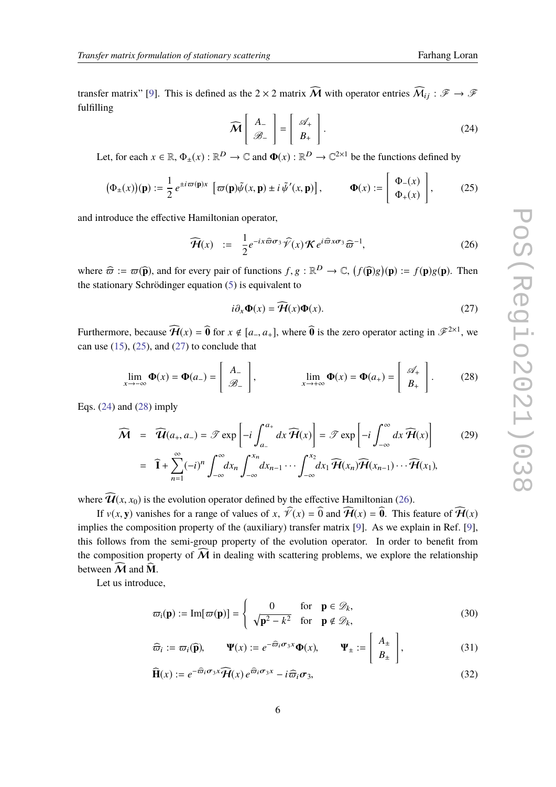transfer matrix" [\[9\]](#page-9-7). This is defined as the 2 × 2 matrix  $\widehat{M}$  with operator entries  $\widehat{M}_{ij}$  :  $\mathscr{F} \to \mathscr{F}$ fulfilling

<span id="page-5-2"></span><span id="page-5-0"></span>
$$
\widehat{\mathcal{M}}\left[\begin{array}{c} A_{-} \\ \mathscr{B}_{-} \end{array}\right] = \left[\begin{array}{c} \mathscr{A}_{+} \\ B_{+} \end{array}\right].\tag{24}
$$

Let, for each  $x \in \mathbb{R}$ ,  $\Phi_{\pm}(x) : \mathbb{R}^D \to \mathbb{C}$  and  $\Phi(x) : \mathbb{R}^D \to \mathbb{C}^{2 \times 1}$  be the functions defined by

$$
(\Phi_{\pm}(x))(\mathbf{p}) := \frac{1}{2} e^{\pm i\varpi(\mathbf{p})x} \left[ \varpi(\mathbf{p}) \tilde{\psi}(x, \mathbf{p}) \pm i \tilde{\psi}'(x, \mathbf{p}) \right], \qquad \Phi(x) := \begin{bmatrix} \Phi_{-}(x) \\ \Phi_{+}(x) \end{bmatrix}, \tag{25}
$$

and introduce the effective Hamiltonian operator,

<span id="page-5-4"></span>
$$
\widehat{\mathcal{H}}(x) \quad := \quad \frac{1}{2} e^{-ix \widehat{\varpi} \sigma_3} \widehat{\mathcal{V}}(x) \, \mathcal{K} \, e^{i \widehat{\varpi} x \sigma_3} \widehat{\varpi}^{-1}, \tag{26}
$$

where  $\widehat{\varpi} := \varpi(\widehat{\mathbf{p}})$ , and for every pair of functions  $f, g : \mathbb{R}^D \to \mathbb{C}$ ,  $(f(\widehat{\mathbf{p}})g)(\mathbf{p}) := f(\mathbf{p})g(\mathbf{p})$ . Then<br>the stationary Schrödinger equation (5) is equivalent to the stationary Schrödinger equation [\(5\)](#page-2-0) is equivalent to

<span id="page-5-3"></span><span id="page-5-1"></span>
$$
i\partial_x \Phi(x) = \widehat{\mathcal{H}}(x)\Phi(x). \tag{27}
$$

Furthermore, because  $\widehat{\mathcal{H}}(x) = \widehat{\mathbf{0}}$  for  $x \notin [a_-, a_+]$ , where  $\widehat{\mathbf{0}}$  is the zero operator acting in  $\mathcal{F}^{2\times 1}$ , we can use  $(15)$ ,  $(25)$ , and  $(27)$  to conclude that

$$
\lim_{x \to -\infty} \Phi(x) = \Phi(a_{-}) = \begin{bmatrix} A_{-} \\ B_{-} \end{bmatrix}, \qquad \lim_{x \to +\infty} \Phi(x) = \Phi(a_{+}) = \begin{bmatrix} \mathcal{A}_{+} \\ B_{+} \end{bmatrix}.
$$
 (28)

Eqs.  $(24)$  and  $(28)$  imply

<span id="page-5-8"></span>
$$
\widehat{\mathbf{M}} = \widehat{\mathbf{U}}(a_+, a_-) = \mathcal{T} \exp\left[-i \int_{a_-}^{a_+} dx \,\widehat{\mathbf{H}}(x)\right] = \mathcal{T} \exp\left[-i \int_{-\infty}^{\infty} dx \,\widehat{\mathbf{H}}(x)\right] \tag{29}
$$

$$
= \widehat{\mathbf{I}} + \sum_{n=1}^{\infty} (-i)^n \int_{-\infty}^{\infty} dx_n \int_{-\infty}^{x_n} dx_{n-1} \cdots \int_{-\infty}^{x_2} dx_1 \widehat{\mathcal{H}}(x_n) \widehat{\mathcal{H}}(x_{n-1}) \cdots \widehat{\mathcal{H}}(x_1),
$$

where  $\widehat{\mathcal{U}}(x, x_0)$  is the evolution operator defined by the effective Hamiltonian [\(26\)](#page-5-4).

If  $v(x, y)$  vanishes for a range of values of x,  $\hat{V}(x) = \hat{0}$  and  $\hat{H}(x) = \hat{0}$ . This feature of  $\hat{H}(x)$ implies the composition property of the (auxiliary) transfer matrix [\[9\]](#page-9-7). As we explain in Ref. [\[9\]](#page-9-7), this follows from the semi-group property of the evolution operator. In order to benefit from the composition property of  $\overline{M}$  in dealing with scattering problems, we explore the relationship between  $\widehat{M}$  and  $\widehat{M}$ .

Let us introduce,

<span id="page-5-5"></span>
$$
\varpi_{i}(\mathbf{p}) := \text{Im}[\varpi(\mathbf{p})] = \begin{cases} 0 & \text{for } \mathbf{p} \in \mathcal{D}_{k}, \\ \sqrt{\mathbf{p}^{2} - k^{2}} & \text{for } \mathbf{p} \notin \mathcal{D}_{k}, \end{cases}
$$
(30)

<span id="page-5-7"></span><span id="page-5-6"></span>
$$
\widehat{\varpi}_i := \varpi_i(\widehat{\mathbf{p}}), \qquad \Psi(x) := e^{-\widehat{\varpi}_i \sigma_3 x} \Phi(x), \qquad \Psi_{\pm} := \begin{bmatrix} A_{\pm} \\ B_{\pm} \end{bmatrix}, \tag{31}
$$

$$
\widehat{\mathbf{H}}(x) := e^{-\widehat{\varpi}_i \sigma_3 x} \widehat{\mathcal{H}}(x) e^{\widehat{\varpi}_i \sigma_3 x} - i \widehat{\varpi}_i \sigma_3,
$$
\n(32)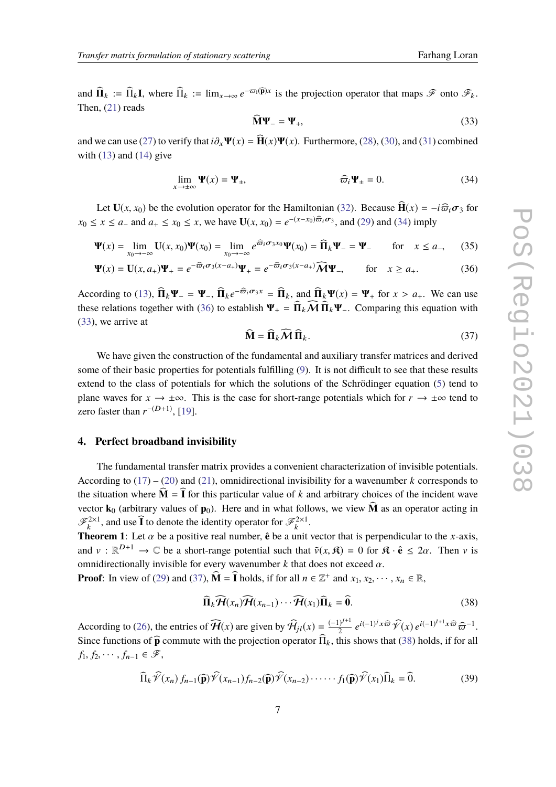and  $\widehat{\mathbf{\Pi}}_k := \widehat{\Pi}_k \mathbf{I}$ , where  $\widehat{\Pi}_k := \lim_{x \to \infty} e^{-\varpi_i(\widehat{\mathbf{p}})x}$  is the projection operator that maps  $\mathcal F$  onto  $\mathcal F_k$ . Then, [\(21\)](#page-4-2) reads

<span id="page-6-2"></span><span id="page-6-0"></span>
$$
\dot{\mathbf{M}}\mathbf{\Psi}_{-}=\mathbf{\Psi}_{+},\tag{33}
$$

and we can use [\(27\)](#page-5-1) to verify that  $i\partial_x \Psi(x) = \hat{H}(x)\Psi(x)$ . Furthermore, [\(28\)](#page-5-3), [\(30\)](#page-5-5), and [\(31\)](#page-5-6) combined with  $(13)$  and  $(14)$  give

$$
\lim_{x \to \pm \infty} \Psi(x) = \Psi_{\pm}, \qquad \widehat{\varpi}_i \Psi_{\pm} = 0. \tag{34}
$$

Let **U**(*x*, *x*<sub>0</sub>) be the evolution operator for the Hamiltonian [\(32\)](#page-5-7). Because  $\mathbf{H}(x) = -i\hat{\varpi}_i\sigma_3$  for *x*<sub>0</sub> ≤ *x* ≤ *a*− and *a*<sub>+</sub> ≤ *x*<sub>0</sub> ≤ *x*, we have **U**(*x*, *x*<sub>0</sub>) =  $e^{-(x-x_0)\widehat{\varpi}_i \sigma_3}$ , and [\(29\)](#page-5-8) and [\(34\)](#page-6-0) imply

$$
\Psi(x) = \lim_{x_0 \to -\infty} \mathbf{U}(x, x_0) \Psi(x_0) = \lim_{x_0 \to -\infty} e^{\widehat{\varpi}_i \sigma_3 x_0} \Psi(x_0) = \widehat{\Pi}_k \Psi_- = \Psi_-\qquad \text{for } x \le a_-, \tag{35}
$$

$$
\Psi(x) = \mathbf{U}(x, a_+) \Psi_+ = e^{-\widehat{\varpi}_i \sigma_3 (x - a_+)} \Psi_+ = e^{-\widehat{\varpi}_i \sigma_3 (x - a_+)} \widehat{\mathcal{M}} \Psi_-, \quad \text{for} \quad x \ge a_+.
$$
 (36)

According to [\(13\)](#page-3-6),  $\hat{\Pi}_k \Psi_- = \Psi_-, \hat{\Pi}_k e^{-\hat{\varpi}_i \sigma_3 x} = \hat{\Pi}_k$ , and  $\hat{\Pi}_k \Psi(x) = \Psi_+$  for  $x > a_+$ . We can use these relations together with (26) to establish  $\Psi_+ = \hat{\Pi} \cdot \hat{\mathbf{M}} \hat{\Pi} \cdot \Psi_-$  Comparing this equation with these relations together with [\(36\)](#page-6-1) to establish  $\Psi_+ = \widehat{\Pi}_k \widehat{M} \widehat{\Pi}_k \Psi_-$ . Comparing this equation with [\(33\)](#page-6-2), we arrive at

<span id="page-6-3"></span><span id="page-6-1"></span>
$$
\hat{\mathbf{M}} = \hat{\mathbf{\Pi}}_k \hat{\mathcal{M}} \hat{\mathbf{\Pi}}_k. \tag{37}
$$

We have given the construction of the fundamental and auxiliary transfer matrices and derived some of their basic properties for potentials fulfilling [\(9\)](#page-3-7). It is not difficult to see that these results extend to the class of potentials for which the solutions of the Schrödinger equation [\(5\)](#page-2-0) tend to plane waves for  $x \to \pm \infty$ . This is the case for short-range potentials which for  $r \to \pm \infty$  tend to zero faster than  $r^{-(D+1)}$ , [\[19\]](#page-9-15).

#### **4. Perfect broadband invisibility**

The fundamental transfer matrix provides a convenient characterization of invisible potentials. According to  $(17) - (20)$  $(17) - (20)$  $(17) - (20)$  and  $(21)$ , omnidirectional invisibility for a wavenumber *k* corresponds to the situation where  $\dot{M} = \dot{I}$  for this particular value of *k* and arbitrary choices of the incident wave vector **k**<sub>0</sub> (arbitrary values of **p**<sub>0</sub>). Here and in what follows, we view  $\hat{\bf{M}}$  as an operator acting in  $\mathscr{F}_k^{2\times 1}$ , and use  $\widehat{\mathbf{I}}$  to denote the identity operator for  $\mathscr{F}_k^{2\times 1}$ .

**Theorem 1**: Let  $\alpha$  be a positive real number,  $\hat{\mathbf{e}}$  be a unit vector that is perpendicular to the *x*-axis, and  $v : \mathbb{R}^{D+1} \to \mathbb{C}$  be a short-range potential such that  $\tilde{v}(x, \mathfrak{K}) = 0$  for  $\mathfrak{K} \cdot \hat{\mathbf{e}} \leq 2\alpha$ . Then v is omnidirectionally invisible for every wavenumber  $k$  that does not exceed  $\alpha$ .

**Proof**: In view of [\(29\)](#page-5-8) and [\(37\)](#page-6-3),  $\widehat{\mathbf{M}} = \widehat{\mathbf{I}}$  holds, if for all  $n \in \mathbb{Z}^+$  and  $x_1, x_2, \dots, x_n \in \mathbb{R}$ ,

<span id="page-6-4"></span>
$$
\widehat{\Pi}_k \widehat{\mathcal{H}}(x_n) \widehat{\mathcal{H}}(x_{n-1}) \cdots \widehat{\mathcal{H}}(x_1) \widehat{\Pi}_k = \widehat{\mathbf{0}}.
$$
\n(38)

According to [\(26\)](#page-5-4), the entries of  $\widehat{H}(x)$  are given by  $\widehat{H}_{jl}(x) = \frac{(-1)^{j+1}}{2}$  $\frac{1}{2}e^{i(-1)^j x \widehat{\varpi}} \widehat{\mathcal{V}}(x) e^{i(-1)^{l+1} x \widehat{\varpi}} \widehat{\varpi}^{-1}.$ Since functions of  $\widehat{\mathbf{p}}$  commute with the projection operator  $\overline{\Pi}_k$ , this shows that [\(38\)](#page-6-4) holds, if for all  $f_1, f_2, \cdots, f_{n-1} \in \mathscr{F},$ 

<span id="page-6-5"></span>
$$
\widehat{\Pi}_k \widehat{\mathcal{V}}(x_n) f_{n-1}(\widehat{\mathbf{p}}) \widehat{\mathcal{V}}(x_{n-1}) f_{n-2}(\widehat{\mathbf{p}}) \widehat{\mathcal{V}}(x_{n-2}) \cdots \cdots f_1(\widehat{\mathbf{p}}) \widehat{\mathcal{V}}(x_1) \widehat{\Pi}_k = \widehat{0}.
$$
 (39)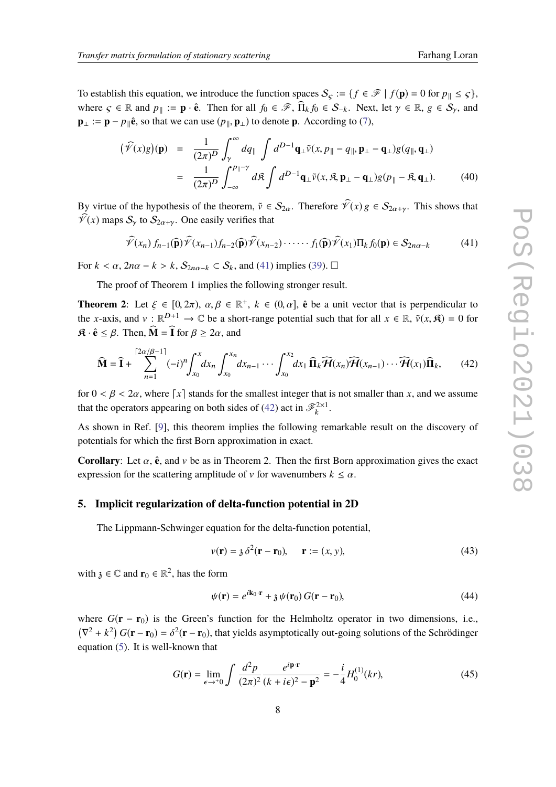To establish this equation, we introduce the function spaces  $S_{\varsigma} := \{ f \in \mathcal{F} \mid f(\mathbf{p}) = 0 \text{ for } p_{\parallel} \leq \varsigma \},\$ where  $\varsigma \in \mathbb{R}$  and  $p_{\parallel} := \mathbf{p} \cdot \hat{\mathbf{e}}$ . Then for all  $f_0 \in \mathcal{F}$ ,  $\widehat{\Pi}_k f_0 \in S_{-k}$ . Next, let  $\gamma \in \mathbb{R}$ ,  $g \in S_{\gamma}$ , and **p**<sub>⊥</sub> := **p** − *p*<sub>||</sub> $\hat{\mathbf{e}}$ , so that we can use (*p*<sub>||</sub>, **p**<sub>⊥</sub>) to denote **p**. According to [\(7\)](#page-2-2),

$$
(\widehat{\mathcal{V}}(x)g)(\mathbf{p}) = \frac{1}{(2\pi)^D} \int_{\gamma}^{\infty} dq_{\parallel} \int d^{D-1} \mathbf{q}_{\perp} \widetilde{\mathbf{v}}(x, p_{\parallel} - q_{\parallel}, \mathbf{p}_{\perp} - \mathbf{q}_{\perp}) g(q_{\parallel}, \mathbf{q}_{\perp})
$$
  

$$
= \frac{1}{(2\pi)^D} \int_{-\infty}^{p_{\parallel}-\gamma} d\mathfrak{K} \int d^{D-1} \mathbf{q}_{\perp} \widetilde{\mathbf{v}}(x, \mathfrak{K}, \mathbf{p}_{\perp} - \mathbf{q}_{\perp}) g(p_{\parallel} - \mathfrak{K}, \mathbf{q}_{\perp}). \tag{40}
$$

By virtue of the hypothesis of the theorem,  $\tilde{v} \in S_{2\alpha}$ . Therefore  $\hat{\mathcal{V}}(x) g \in S_{2\alpha+\gamma}$ . This shows that  $\widehat{\mathcal{V}}(x)$  maps  $S_{\gamma}$  to  $S_{2\alpha+\gamma}$ . One easily verifies that

<span id="page-7-0"></span>
$$
\widehat{\mathcal{V}}(x_n) f_{n-1}(\widehat{\mathbf{p}}) \widehat{\mathcal{V}}(x_{n-1}) f_{n-2}(\widehat{\mathbf{p}}) \widehat{\mathcal{V}}(x_{n-2}) \cdots \cdots f_1(\widehat{\mathbf{p}}) \widehat{\mathcal{V}}(x_1) \Pi_k f_0(\mathbf{p}) \in \mathcal{S}_{2n\alpha-k}
$$
(41)

For  $k < \alpha$ ,  $2n\alpha - k > k$ ,  $S_{2n\alpha-k} \subset S_k$ , and [\(41\)](#page-7-0) implies [\(39\)](#page-6-5).  $\Box$ 

The proof of Theorem 1 implies the following stronger result.

**Theorem 2:** Let  $\xi \in [0, 2\pi)$ ,  $\alpha, \beta \in \mathbb{R}^+$ ,  $k \in (0, \alpha]$ ,  $\hat{\mathbf{e}}$  be a unit vector that is perpendicular to the *n* quite and  $\mathbf{u} \in \mathbb{R}^{D+1}$ .  $\mathbb{R}^D$  is a short gauge potential such that for all  $\mathbf{u$ the *x*-axis, and  $v : \mathbb{R}^{D+1} \to \mathbb{C}$  be a short-range potential such that for all  $x \in \mathbb{R}$ ,  $\tilde{v}(x, \mathfrak{K}) = 0$  for  $\mathbf{\hat{R}} \cdot \hat{\mathbf{e}} \leq \beta$ . Then,  $\widehat{\mathbf{M}} = \widehat{\mathbf{I}}$  for  $\beta \geq 2\alpha$ , and

<span id="page-7-1"></span>
$$
\widehat{\mathbf{M}} = \widehat{\mathbf{I}} + \sum_{n=1}^{\lceil 2\alpha/\beta - 1 \rceil} (-i)^n \int_{x_0}^x dx_n \int_{x_0}^{x_n} dx_{n-1} \cdots \int_{x_0}^{x_2} dx_1 \widehat{\mathbf{H}}_k \widehat{\mathcal{H}}(x_n) \widehat{\mathcal{H}}(x_{n-1}) \cdots \widehat{\mathcal{H}}(x_1) \widehat{\mathbf{H}}_k, \tag{42}
$$

for  $0 < \beta < 2\alpha$ , where [x] stands for the smallest integer that is not smaller than x, and we assume that the operators appearing on both sides of [\(42\)](#page-7-1) act in  $\mathscr{F}_k^{2\times 1}$ .

As shown in Ref. [\[9\]](#page-9-7), this theorem implies the following remarkable result on the discovery of potentials for which the first Born approximation in exact.

**Corollary:** Let  $\alpha$ ,  $\hat{\mathbf{e}}$ , and  $\nu$  be as in Theorem 2. Then the first Born approximation gives the exact expression for the scattering amplitude of v for wavenumbers  $k \leq \alpha$ .

#### **5. Implicit regularization of delta-function potential in 2D**

The Lippmann-Schwinger equation for the delta-function potential,

<span id="page-7-3"></span>
$$
v(\mathbf{r}) = \mathfrak{z} \, \delta^2(\mathbf{r} - \mathbf{r}_0), \qquad \mathbf{r} := (x, y), \tag{43}
$$

with  $\mathfrak{z} \in \mathbb{C}$  and  $\mathbf{r}_0 \in \mathbb{R}^2$ , has the form

<span id="page-7-2"></span>
$$
\psi(\mathbf{r}) = e^{i\mathbf{k}_0 \cdot \mathbf{r}} + \mathfrak{z} \psi(\mathbf{r}_0) G(\mathbf{r} - \mathbf{r}_0),
$$
\n(44)

where  $G(\mathbf{r} - \mathbf{r}_0)$  is the Green's function for the Helmholtz operator in two dimensions, i.e.,  $(\nabla^2 + k^2) G(\mathbf{r} - \mathbf{r}_0) = \delta^2(\mathbf{r} - \mathbf{r}_0)$ , that yields asymptotically out-going solutions of the Schrödinger equation [\(5\)](#page-2-0). It is well-known that

<span id="page-7-4"></span>
$$
G(\mathbf{r}) = \lim_{\epsilon \to ^{+0}} \int \frac{d^2 p}{(2\pi)^2} \frac{e^{i\mathbf{p} \cdot \mathbf{r}}}{(k + i\epsilon)^2 - \mathbf{p}^2} = -\frac{i}{4} H_0^{(1)}(kr), \tag{45}
$$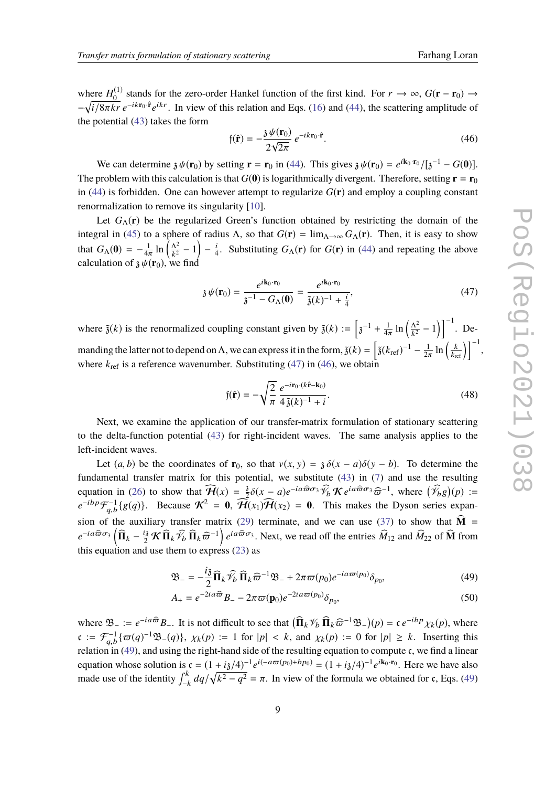where  $H_0^{(1)}$  $\frac{0}{0}$  stands for the zero-order Hankel function of the first kind. For  $r \to \infty$ ,  $G(\mathbf{r} - \mathbf{r}_0) \to$  $-\sqrt{i/8\pi kr} e^{-ikr_0 \cdot \hat{\mathbf{r}}} e^{ikr}$ . In view of this relation and Eqs. [\(16\)](#page-3-8) and [\(44\)](#page-7-2), the scattering amplitude of the patential (42) takes the form the potential [\(43\)](#page-7-3) takes the form

<span id="page-8-1"></span>
$$
\mathfrak{f}(\mathbf{\hat{r}}) = -\frac{3 \psi(\mathbf{r}_0)}{2\sqrt{2\pi}} e^{-ik\mathbf{r}_0 \cdot \mathbf{\hat{r}}}.
$$
\n(46)

We can determine  $\mathfrak{z} \psi(\mathbf{r}_0)$  by setting  $\mathbf{r} = \mathbf{r}_0$  in [\(44\)](#page-7-2). This gives  $\mathfrak{z} \psi(\mathbf{r}_0) = e^{i\mathbf{k}_0 \cdot \mathbf{r}_0} / [\mathfrak{z}^{-1} - G(\mathbf{0})]$ . The problem with this calculation is that  $G(0)$  is logarithmically divergent. Therefore, setting  $\mathbf{r} = \mathbf{r}_0$ in [\(44\)](#page-7-2) is forbidden. One can however attempt to regularize  $G(\mathbf{r})$  and employ a coupling constant renormalization to remove its singularity [\[10\]](#page-9-8).

Let  $G_\Lambda(\mathbf{r})$  be the regularized Green's function obtained by restricting the domain of the integral in [\(45\)](#page-7-4) to a sphere of radius  $\Lambda$ , so that  $G(\mathbf{r}) = \lim_{\Lambda \to \infty} G_{\Lambda}(\mathbf{r})$ . Then, it is easy to show that  $G_{\Lambda}(0) = -\frac{1}{4n}$ 4π  $\ln\left(\frac{\Lambda^2}{\nu^2}\right)$  $\frac{\Lambda^2}{k^2} - 1 - \frac{i}{4}$  $\frac{i}{4}$ . Substituting  $G_{\Lambda}(\mathbf{r})$  for  $G(\mathbf{r})$  in [\(44\)](#page-7-2) and repeating the above calculation of  $\chi \psi(\mathbf{r}_0)$ , we find

<span id="page-8-0"></span>
$$
\mathfrak{z}\,\psi(\mathbf{r}_0) = \frac{e^{i\mathbf{k}_0 \cdot \mathbf{r}_0}}{\mathfrak{z}^{-1} - G_\Lambda(\mathbf{0})} = \frac{e^{i\mathbf{k}_0 \cdot \mathbf{r}_0}}{\tilde{\mathfrak{z}}(k)^{-1} + \frac{i}{4}},\tag{47}
$$

where  $\tilde{\mathfrak{z}}(k)$  is the renormalized coupling constant given by  $\tilde{\mathfrak{z}}(k) := \left[3^{-1} + \frac{1}{4n}\right]$  $4\pi$  $\ln\left(\frac{\Lambda^2}{k^2}\right)$  $\left(\frac{\Lambda^2}{k^2} - 1\right)$   $\Big]^{-1}$ . Demanding the latter not to depend on  $\Lambda$ , we can express it in the form,  $\tilde{\mathfrak{z}}(k) = \left[\tilde{\mathfrak{z}}(k_{\text{ref}})^{-1} - \frac{1}{2i}\right]$ 2π  $\ln\left(\frac{k}{k_{\text{ref}}}\right)\right]^{-1},$ where  $k_{\text{ref}}$  is a reference wavenumber. Substituting [\(47\)](#page-8-0) in [\(46\)](#page-8-1), we obtain

<span id="page-8-4"></span>
$$
\mathfrak{f}(\hat{\mathbf{r}}) = -\sqrt{\frac{2}{\pi}} \frac{e^{-i\mathbf{r}_0 \cdot (k\hat{\mathbf{r}} - \mathbf{k}_0)}}{4\tilde{\mathfrak{z}}(k)^{-1} + i}.
$$
\n(48)

Next, we examine the application of our transfer-matrix formulation of stationary scattering to the delta-function potential [\(43\)](#page-7-3) for right-incident waves. The same analysis applies to the left-incident waves.

Let  $(a, b)$  be the coordinates of **r**<sub>0</sub>, so that  $v(x, y) = \lambda \delta(x - a)\delta(y - b)$ . To determine the fundamental transfer matrix for this potential, we substitute [\(43\)](#page-7-3) in [\(7\)](#page-2-2) and use the resulting equation in [\(26\)](#page-5-4) to show that  $\widehat{H}(x) = \frac{3}{2}$  $\frac{3}{2}\delta(x-a)e^{-ia\widehat{\varpi}\sigma_3}\widehat{\mathscr{V}}_b\mathcal{K}e^{ia\widehat{\varpi}\sigma_3}\widehat{\varpi}^{-1}$ , where  $(\widehat{\mathscr{V}}_b g)(p) :=$ <br> $\widehat{\mathscr{V}}_b(\mu)\widehat{\mathscr{U}}_b(\mu) = 0$ . This makes the Dyson series arrow  $e^{-ibp}\mathcal{F}_{ab}^{-1}$  $\mathcal{F}_{q,b}^{-1}\{g(q)\}\$ . Because  $\mathcal{K}^2 = 0$ ,  $\mathcal{H}(x_1)\mathcal{H}(x_2) = 0$ . This makes the Dyson series expan-sion of the auxiliary transfer matrix [\(29\)](#page-5-8) terminate, and we can use [\(37\)](#page-6-3) to show that  $\widehat{M}$  =  $e^{-ia\widehat{\omega}\sigma_3} \left( \widehat{\Pi}_k - \frac{i_3}{2} \mathcal{K} \widehat{\Pi}_k \widehat{\mathcal{V}}_b \widehat{\Pi}_k \widehat{\omega}^{-1} \right) e^{ia\widehat{\omega}\sigma_3}$ . Next, we read off the entries  $\widehat{M}_{12}$  and  $\widehat{M}_{22}$  of  $\widehat{\mathbf{M}}$  from this equation and use them to express  $(23)$  as

<span id="page-8-3"></span><span id="page-8-2"></span>
$$
\mathfrak{B}_{-} = -\frac{i\mathfrak{z}}{2} \widehat{\Pi}_{k} \widehat{\mathscr{V}}_{b} \widehat{\Pi}_{k} \widehat{\varpi}^{-1} \mathfrak{B}_{-} + 2\pi \varpi(p_0) e^{-ia\varpi(p_0)} \delta_{p_0},\tag{49}
$$

$$
A_{+} = e^{-2ia\widehat{\omega}}B_{-} - 2\pi\varpi(\mathbf{p}_0)e^{-2ia\varpi(p_0)}\delta_{p_0},\tag{50}
$$

where  $\mathfrak{B}_{-} := e^{-ia\widehat{\varpi}} B_{-}$ . It is not difficult to see that  $\left(\widehat{\mathbf{\Pi}}_k \mathcal{V}_b \widehat{\mathbf{\Pi}}_k \widehat{\varpi}^{-1} \mathfrak{B}_{-}\right)(p) = \mathfrak{c} e^{-ibp} \chi_k(p)$ , where  $\mathfrak{c} := \mathcal{F}_{q,b}^{-1} \{ \varpi(q)^{-1} \mathfrak{B}_{-}(q) \}$ ,  $\chi_k(p) := 1$  for  $|p| < k$ , an relation in [\(49\)](#page-8-2), and using the right-hand side of the resulting equation to compute c, we find a linear relation in (49), and using the right-hand side of the resulting equation to compute c, we find a linear equation whose solution is  $c = (1 + i3/4)^{-1} e^{i(-a\varpi(p_0) + bp_0)} = (1 + i3/4)^{-1} e^{i\mathbf{k}_0 \cdot \mathbf{r}_0}$ . Here we have also made use of the identity  $\int_{-k}^{k} dq / \sqrt{k^2 - q^2} = \pi$ . In view of the formula we obtained for c, Eqs. [\(49\)](#page-8-2)